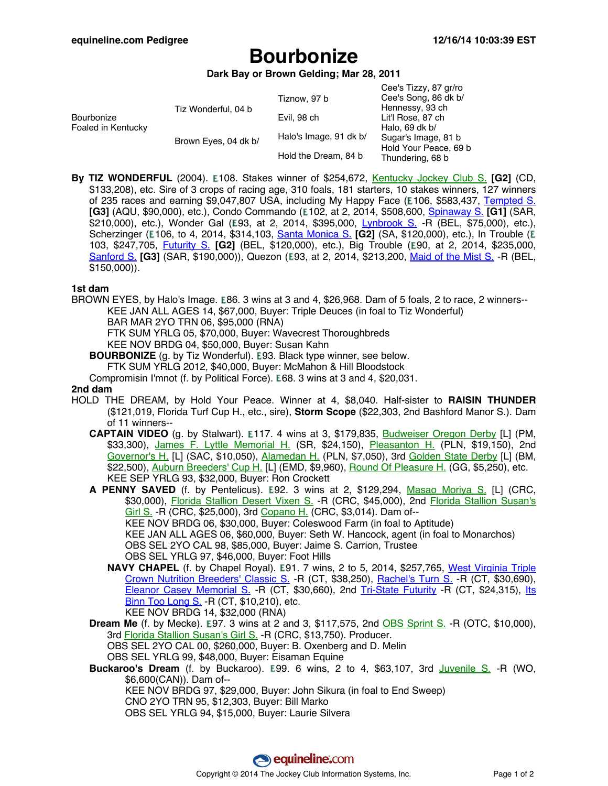# **Bourbonize**

### **Dark Bay or Brown Gelding; Mar 28, 2011**

| Bourbonize<br>Foaled in Kentucky | Tiz Wonderful, 04 b  | Tiznow, 97 b           | Cee's Tizzy, 87 gr/ro<br>Cee's Song, 86 dk b/<br>Hennessy, 93 ch<br>Lit'l Rose, 87 ch<br>Halo, 69 dk b/<br>Sugar's Image, 81 b<br>Hold Your Peace, 69 b<br>Thundering, 68 b |
|----------------------------------|----------------------|------------------------|-----------------------------------------------------------------------------------------------------------------------------------------------------------------------------|
|                                  |                      | Evil, 98 ch            |                                                                                                                                                                             |
|                                  | Brown Eyes, 04 dk b/ | Halo's Image, 91 dk b/ |                                                                                                                                                                             |
|                                  |                      | Hold the Dream, 84 b   |                                                                                                                                                                             |

**By TIZ WONDERFUL** (2004). E108. Stakes winner of \$254,672, Kentucky [Jockey](http://www.equineline.com/dotVideoChart.cfm?track=CD+&country=USA&race_date=2006-11-25&refno=7235047®istry=T&race_name=Kentucky+Jockey+Club+S.&race_number=11&day_evening=D&product_reference_number=40PA) Club S. **[G2]** (CD, \$133,208), etc. Sire of 3 crops of racing age, 310 foals, 181 starters, 10 stakes winners, 127 winners of 235 races and earning \$9,047,807 USA, including My Happy Face (£106, \$583,437, Te[mpted](http://www.equineline.com/dotVideoChart.cfm?track=AQU&country=USA&race_date=2012-11-04&raceid=mp4:2012/1308/201211041414AQD5_1308.f4v&refno=8919839®istry=T&race_name=Tempted+S.&race_number=5&day_evening=D&product_reference_number=40PA) S. **[G3]** (AQU, \$90,000), etc.), Condo Commando ( 102, at 2, 2014, \$508,600, [Spinaway](http://www.equineline.com/dotVideoChart.cfm?track=SAR&country=USA&race_date=2014-08-31&raceid=mp4:2014/1308/201408311747STD10_1308.f4v&refno=9383795®istry=T&race_name=Spinaway+S.&race_number=10&day_evening=D&product_reference_number=40PA) S. **[G1]** (SAR, \$210,000), etc.), Wonder Gal (E93, at 2, 2014, \$395,000, Lynbrook S. [-R \(](http://www.equineline.com/dotVideoChart.cfm?track=BEL&country=USA&race_date=2014-07-06&raceid=mp4:2014/1308/201407061419BED3_1308.f4v&refno=9310388®istry=T&race_name=Lynbrook+S.&race_number=3&day_evening=D&product_reference_number=40PA)BEL, \$75,000), etc.), Scherzinger (E106, to 4, 2014, \$314,103, Santa [Monica](http://www.equineline.com/dotVideoChart.cfm?track=SA+&country=USA&race_date=2014-01-25&raceid=mp4:2014/1308/201401251628SAD4_1308.f4v&refno=8881265®istry=T&race_name=Santa+Monica+S.&race_number=4&day_evening=D&product_reference_number=40PA) S. [G2] (SA, \$120,000), etc.), In Trouble (E 103, \$247,705, [Futurity](http://www.equineline.com/dotVideoChart.cfm?track=BEL&country=USA&race_date=2013-09-29&raceid=mp4:2013/1308/201309291717BED9_1308.f4v&refno=9156976®istry=T&race_name=Futurity+S.&race_number=9&day_evening=D&product_reference_number=40PA) S. [G2] (BEL, \$120,000), etc.), Big Trouble (E90, at 2, 2014, \$235,000, [Sanford](http://www.equineline.com/dotVideoChart.cfm?track=SAR&country=USA&race_date=2014-07-19&raceid=mp4:2014/1308/201407191612STD7_1308.f4v&refno=9328624®istry=T&race_name=Sanford+S.&race_number=7&day_evening=D&product_reference_number=40PA) S. [G3] (SAR, \$190,000)), Quezon (E93, at 2, 2014, \$213,200, Maid of the [Mist](http://www.equineline.com/dotVideoChart.cfm?track=BEL&country=USA&race_date=2014-10-18&raceid=mp4:2014/1308/201410181322BED3_1308.f4v&refno=9286107®istry=T&race_name=Maid+of+the+Mist+S.&race_number=3&day_evening=D&product_reference_number=40PA) S. -R (BEL, \$150,000)).

### **1st dam**

BROWN EYES, by Halo's Image. E86. 3 wins at 3 and 4, \$26,968. Dam of 5 foals, 2 to race, 2 winners--KEE JAN ALL AGES 14, \$67,000, Buyer: Triple Deuces (in foal to Tiz Wonderful) BAR MAR 2YO TRN 06, \$95,000 (RNA)

FTK SUM YRLG 05, \$70,000, Buyer: Wavecrest Thoroughbreds

KEE NOV BRDG 04, \$50,000, Buyer: Susan Kahn

**BOURBONIZE** (g. by Tiz Wonderful). **E93. Black type winner, see below.** 

FTK SUM YRLG 2012, \$40,000, Buyer: McMahon & Hill Bloodstock

Compromisin I'mnot (f. by Political Force). E68. 3 wins at 3 and 4, \$20,031.

#### **2nd dam**

- HOLD THE DREAM, by Hold Your Peace. Winner at 4, \$8,040. Half-sister to **RAISIN THUNDER** (\$121,019, Florida Turf Cup H., etc., sire), **Storm Scope** (\$22,303, 2nd Bashford Manor S.). Dam of 11 winners--
	- **CAPTAIN VIDEO** (g. by Stalwart). E117. 4 wins at 3, \$179,835, Budweiser [Oregon](http://www.equineline.com/dotVideoChart.cfm?track=PM+&country=USA&race_date=1995-04-29&refno=1368822®istry=T&race_name=Budweiser+Oregon+Derby&race_number=9&day_evening=D&product_reference_number=40PA) Derby [L] (PM, \$33,300), James F. Lyttle [Memorial](http://www.equineline.com/dotVideoChart.cfm?track=SR+&country=USA&race_date=1995-07-30&refno=1368822®istry=T&race_name=James+F.+Lyttle+Memorial+H.&race_number=11&day_evening=D&product_reference_number=40PA) H. (SR, \$24,150), Plea[santon](http://www.equineline.com/dotVideoChart.cfm?track=PLN&country=USA&race_date=1995-07-02&refno=1368822®istry=T&race_name=Pleasanton+H.&race_number=10&day_evening=D&product_reference_number=40PA) H. (PLN, \$19,150), 2nd [Governor's](http://www.equineline.com/dotVideoChart.cfm?track=SAC&country=USA&race_date=1996-08-24&refno=1368822®istry=T&race_name=Governor) H. [L] (SAC, \$10,050), [Alamedan](http://www.equineline.com/dotVideoChart.cfm?track=PLN&country=USA&race_date=1996-07-07&refno=1368822®istry=T&race_name=Alamedan+H.&race_number=11&day_evening=D&product_reference_number=40PA) H. (PLN, \$7,050), 3rd Golden State [Derby](http://www.equineline.com/dotVideoChart.cfm?track=BM+&country=USA&race_date=1995-03-25&refno=1368822®istry=T&race_name=Golden+State+Derby&race_number=7&day_evening=D&product_reference_number=40PA) [L] (BM, \$22,500), Auburn [Breeders'](http://www.equineline.com/dotVideoChart.cfm?track=EMD&country=USA&race_date=1996-06-20&refno=1368822®istry=T&race_name=Auburn+Breeders) Cup H. [L] (EMD, \$9,960), Round Of [Pleasure](http://www.equineline.com/dotVideoChart.cfm?track=GG+&country=USA&race_date=1995-05-21&refno=1368822®istry=T&race_name=Round+Of+Pleasure+H.&race_number=8&day_evening=D&product_reference_number=40PA) H. (GG, \$5,250), etc. KEE SEP YRLG 93, \$32,000, Buyer: Ron Crockett

**A PENNY SAVED** (f. by Pentelicus). E92. 3 wins at 2, \$129,294, Masao [Moriya](http://www.equineline.com/dotVideoChart.cfm?track=CRC&country=USA&race_date=1998-07-19&refno=4058754®istry=T&race_name=Masao+Moriya+S.&race_number=11&day_evening=D&product_reference_number=40PA) S. [L] (CRC, \$30,000), Florida [Stallion](http://www.equineline.com/dotVideoChart.cfm?track=CRC&country=USA&race_date=1998-08-09&refno=4058754®istry=T&race_name=Florida+Stallion+Desert+Vixen+S.&race_number=11&day_evening=D&product_reference_number=40PA) Desert Vixen S. -R (CRC, \$45,000), 2nd Florida Stallion [Susan's](http://www.equineline.com/dotVideoChart.cfm?track=CRC&country=USA&race_date=1998-09-06&refno=4058754®istry=T&race_name=Florida+Stallion+Susan) [Girl](http://www.equineline.com/dotVideoChart.cfm?track=CRC&country=USA&race_date=1998-09-06&refno=4058754®istry=T&race_name=Florida+Stallion+Susan) S. - R (CRC, \$25,000), 3rd [Copano](http://www.equineline.com/dotVideoChart.cfm?track=CRC&country=USA&race_date=1999-11-24&refno=4058754®istry=T&race_name=Copano+H.&race_number=9&day_evening=D&product_reference_number=40PA) H. (CRC, \$3,014). Dam of--KEE NOV BRDG 06, \$30,000, Buyer: Coleswood Farm (in foal to Aptitude) KEE JAN ALL AGES 06, \$60,000, Buyer: Seth W. Hancock, agent (in foal to Monarchos) OBS SEL 2YO CAL 98, \$85,000, Buyer: Jaime S. Carrion, Trustee OBS SEL YRLG 97, \$46,000, Buyer: Foot Hills

**NAVY CHAPEL** (f. by Chapel Royal). E91. 7 wins, 2 to 5, 2014, \$257,765, West [Virginia](http://www.equineline.com/dotVideoChart.cfm?track=CT+&country=USA&race_date=2011-10-15&raceid=mp4:2011/1308/201110152013TWN3_1308.f4v&refno=8702640®istry=T&race_name=West+Virginia+Triple+Crown+Nutrition+Breeders) Triple Crown Nutrition [Breeders'](http://www.equineline.com/dotVideoChart.cfm?track=CT+&country=USA&race_date=2011-10-15&raceid=mp4:2011/1308/201110152013TWN3_1308.f4v&refno=8702640®istry=T&race_name=West+Virginia+Triple+Crown+Nutrition+Breeders) Classic S. -R (CT, \$38,250), R[achel's](http://www.equineline.com/dotVideoChart.cfm?track=CT+&country=USA&race_date=2011-09-17&raceid=mp4:2011/1308/201109172021TWN6_1308.f4v&refno=8702640®istry=T&race_name=Rachel) Turn S. -R (CT, \$30,690), Eleanor Casey [Memorial](http://www.equineline.com/dotVideoChart.cfm?track=CT+&country=USA&race_date=2011-12-17&raceid=mp4:2011/1308/201112172304TWN9_1308.f4v&refno=8702640®istry=T&race_name=Eleanor+Casey+Memorial+S.&race_number=9&day_evening=D&product_reference_number=40PA) S. -R (CT, \$30,660), 2nd Tri-State [Futurity](http://www.equineline.com/dotVideoChart.cfm?track=CT+&country=USA&race_date=2011-11-05&raceid=mp4:2011/1308/201111052236TWN8_1308.f4v&refno=8702640®istry=T&race_name=Tri-State+Futurity&race_number=8&day_evening=D&product_reference_number=40PA) -R (CT, \$24,315), Its Binn Too [Long](http://www.equineline.com/dotVideoChart.cfm?track=CT+&country=USA&race_date=2012-05-26&raceid=mp4:2012/1308/201205262235TWN8_1308.f4v&refno=8702640®istry=T&race_name=Its+Binn+Too+Long+S.&race_number=8&day_evening=D&product_reference_number=40PA) S. -R (CT, \$10,210), etc. KEE NOV BRDG 14, \$32,000 (RNA)

**Dream Me** (f. by Mecke). **E97. 3 wins at 2 and 3, \$117,575, 2nd OBS [Sprint](http://www.equineline.com/dotVideoChart.cfm?track=OTC&country=USA&race_date=2001-03-19&refno=4560083®istry=T&race_name=OBS+Sprint+S.&race_number=1&day_evening=D&product_reference_number=40PA) S. -R (OTC, \$10,000),** 3rd **Florida Stallion [Susan's](http://www.equineline.com/dotVideoChart.cfm?track=CRC&country=USA&race_date=2000-08-26&refno=4560083®istry=T&race_name=Florida+Stallion+Susan) Girl S.** -R (CRC, \$13,750). Producer.

OBS SEL 2YO CAL 00, \$260,000, Buyer: B. Oxenberg and D. Melin

OBS SEL YRLG 99, \$48,000, Buyer: Eisaman Equine

**Buckaroo's Dream** (f. by Buckaroo). E99. 6 wins, 2 to 4, \$63,107, 3rd Juvenile S. [-R \(WO](http://www.equineline.com/dotVideoChart.cfm?track=WO+&country=CAN&race_date=1995-09-23&refno=1404211®istry=T&race_name=Juvenile+S.&race_number=7&day_evening=D&product_reference_number=40PA), \$6,600(CAN)). Dam of--

KEE NOV BRDG 97, \$29,000, Buyer: John Sikura (in foal to End Sweep)

CNO 2YO TRN 95, \$12,303, Buyer: Bill Marko

OBS SEL YRLG 94, \$15,000, Buyer: Laurie Silvera